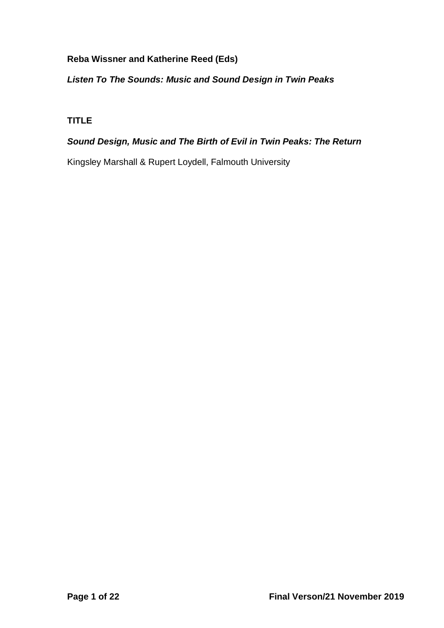## **Reba Wissner and Katherine Reed (Eds)**

## *Listen To The Sounds: Music and Sound Design in Twin Peaks*

# **TITLE**

## *Sound Design, Music and The Birth of Evil in Twin Peaks: The Return*

Kingsley Marshall & Rupert Loydell, Falmouth University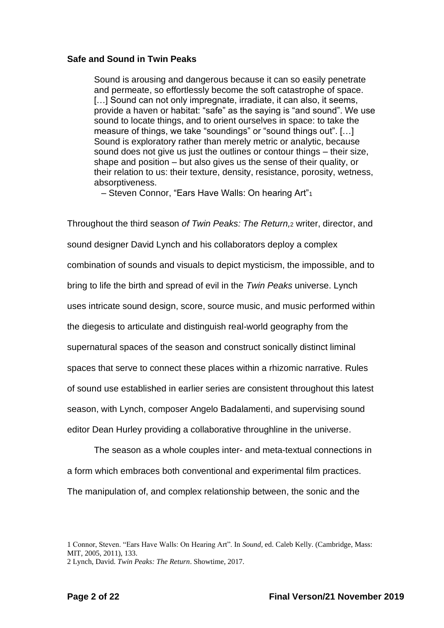### **Safe and Sound in Twin Peaks**

Sound is arousing and dangerous because it can so easily penetrate and permeate, so effortlessly become the soft catastrophe of space. [...] Sound can not only impregnate, irradiate, it can also, it seems, provide a haven or habitat: "safe" as the saying is "and sound". We use sound to locate things, and to orient ourselves in space: to take the measure of things, we take "soundings" or "sound things out". […] Sound is exploratory rather than merely metric or analytic, because sound does not give us just the outlines or contour things – their size, shape and position – but also gives us the sense of their quality, or their relation to us: their texture, density, resistance, porosity, wetness, absorptiveness.

– Steven Connor, "Ears Have Walls: On hearing Art"<sup>1</sup>

Throughout the third season *of Twin Peaks: The Return,*<sup>2</sup> writer, director, and sound designer David Lynch and his collaborators deploy a complex combination of sounds and visuals to depict mysticism, the impossible, and to bring to life the birth and spread of evil in the *Twin Peaks* universe. Lynch uses intricate sound design, score, source music, and music performed within the diegesis to articulate and distinguish real-world geography from the supernatural spaces of the season and construct sonically distinct liminal spaces that serve to connect these places within a rhizomic narrative. Rules of sound use established in earlier series are consistent throughout this latest season, with Lynch, composer Angelo Badalamenti, and supervising sound editor Dean Hurley providing a collaborative throughline in the universe.

The season as a whole couples inter- and meta-textual connections in a form which embraces both conventional and experimental film practices. The manipulation of, and complex relationship between, the sonic and the

<sup>1</sup> Connor, Steven. "Ears Have Walls: On Hearing Art". In *Sound*, ed. Caleb Kelly. (Cambridge, Mass: MIT, 2005, 2011), 133.

<sup>2</sup> Lynch, David. *Twin Peaks: The Return*. Showtime, 2017.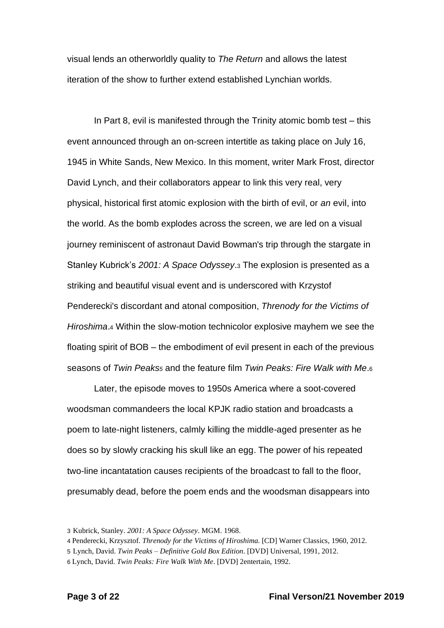visual lends an otherworldly quality to *The Return* and allows the latest iteration of the show to further extend established Lynchian worlds.

In Part 8, evil is manifested through the Trinity atomic bomb test – this event announced through an on-screen intertitle as taking place on July 16, 1945 in White Sands, New Mexico. In this moment, writer Mark Frost, director David Lynch, and their collaborators appear to link this very real, very physical, historical first atomic explosion with the birth of evil, or *an* evil, into the world. As the bomb explodes across the screen, we are led on a visual journey reminiscent of astronaut David Bowman's trip through the stargate in Stanley Kubrick's *2001: A Space Odyssey*.<sup>3</sup> The explosion is presented as a striking and beautiful visual event and is underscored with Krzystof Penderecki's discordant and atonal composition, *Threnody for the Victims of Hiroshima*.<sup>4</sup> Within the slow-motion technicolor explosive mayhem we see the floating spirit of BOB – the embodiment of evil present in each of the previous seasons of *Twin Peaks<sup>5</sup>* and the feature film *Twin Peaks: Fire Walk with Me*.<sup>6</sup>

Later, the episode moves to 1950s America where a soot-covered woodsman commandeers the local KPJK radio station and broadcasts a poem to late-night listeners, calmly killing the middle-aged presenter as he does so by slowly cracking his skull like an egg. The power of his repeated two-line incantatation causes recipients of the broadcast to fall to the floor, presumably dead, before the poem ends and the woodsman disappears into

<sup>3</sup> Kubrick, Stanley. *2001: A Space Odyssey*. MGM. 1968.

<sup>4</sup> Penderecki, Krzysztof. *Threnody for the Victims of Hiroshima.* [CD] Warner Classics, 1960, 2012.

<sup>5</sup> Lynch, David. *Twin Peaks – Definitive Gold Box Edition*. [DVD] Universal, 1991, 2012.

<sup>6</sup> Lynch, David. *Twin Peaks: Fire Walk With Me*. [DVD] 2entertain, 1992.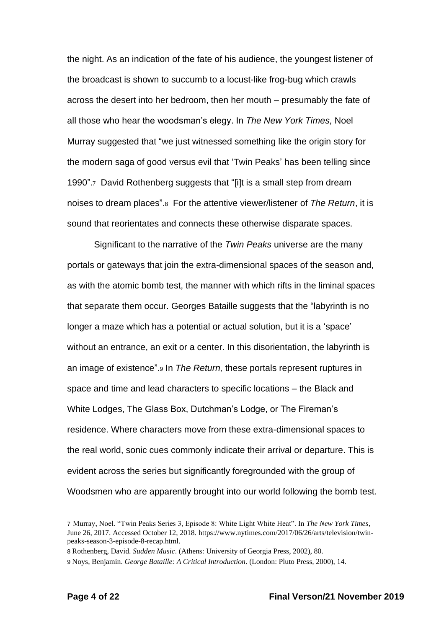the night. As an indication of the fate of his audience, the youngest listener of the broadcast is shown to succumb to a locust-like frog-bug which crawls across the desert into her bedroom, then her mouth – presumably the fate of all those who hear the woodsman's elegy. In *The New York Times,* Noel Murray suggested that "we just witnessed something like the origin story for the modern saga of good versus evil that 'Twin Peaks' has been telling since 1990".<sup>7</sup> David Rothenberg suggests that "[i]t is a small step from dream noises to dream places".<sup>8</sup> For the attentive viewer/listener of *The Return*, it is sound that reorientates and connects these otherwise disparate spaces.

Significant to the narrative of the *Twin Peaks* universe are the many portals or gateways that join the extra-dimensional spaces of the season and, as with the atomic bomb test, the manner with which rifts in the liminal spaces that separate them occur. Georges Bataille suggests that the "labyrinth is no longer a maze which has a potential or actual solution, but it is a 'space' without an entrance, an exit or a center. In this disorientation, the labyrinth is an image of existence".<sup>9</sup> In *The Return,* these portals represent ruptures in space and time and lead characters to specific locations – the Black and White Lodges, The Glass Box, Dutchman's Lodge, or The Fireman's residence. Where characters move from these extra-dimensional spaces to the real world, sonic cues commonly indicate their arrival or departure. This is evident across the series but significantly foregrounded with the group of Woodsmen who are apparently brought into our world following the bomb test.

8 Rothenberg, David. *Sudden Music*. (Athens: University of Georgia Press, 2002), 80.

<sup>7</sup> Murray, Noel. "Twin Peaks Series 3, Episode 8: White Light White Heat". In *The New York Times*, June 26, 2017. Accessed October 12, 2018. https://www.nytimes.com/2017/06/26/arts/television/twinpeaks-season-3-episode-8-recap.html.

<sup>9</sup> Noys, Benjamin. *George Bataille: A Critical Introduction*. (London: Pluto Press, 2000), 14.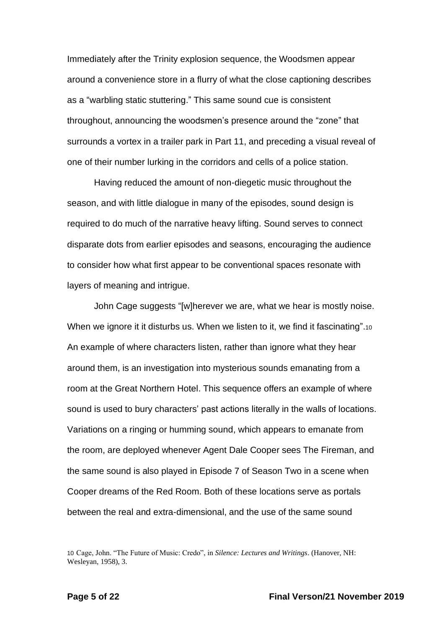Immediately after the Trinity explosion sequence, the Woodsmen appear around a convenience store in a flurry of what the close captioning describes as a "warbling static stuttering." This same sound cue is consistent throughout, announcing the woodsmen's presence around the "zone" that surrounds a vortex in a trailer park in Part 11, and preceding a visual reveal of one of their number lurking in the corridors and cells of a police station.

Having reduced the amount of non-diegetic music throughout the season, and with little dialogue in many of the episodes, sound design is required to do much of the narrative heavy lifting. Sound serves to connect disparate dots from earlier episodes and seasons, encouraging the audience to consider how what first appear to be conventional spaces resonate with layers of meaning and intrigue.

John Cage suggests "[w]herever we are, what we hear is mostly noise. When we ignore it it disturbs us. When we listen to it, we find it fascinating".10 An example of where characters listen, rather than ignore what they hear around them, is an investigation into mysterious sounds emanating from a room at the Great Northern Hotel. This sequence offers an example of where sound is used to bury characters' past actions literally in the walls of locations. Variations on a ringing or humming sound, which appears to emanate from the room, are deployed whenever Agent Dale Cooper sees The Fireman, and the same sound is also played in Episode 7 of Season Two in a scene when Cooper dreams of the Red Room. Both of these locations serve as portals between the real and extra-dimensional, and the use of the same sound

<sup>10</sup> Cage, John. "The Future of Music: Credo", in *Silence: Lectures and Writings*. (Hanover, NH: Wesleyan, 1958), 3.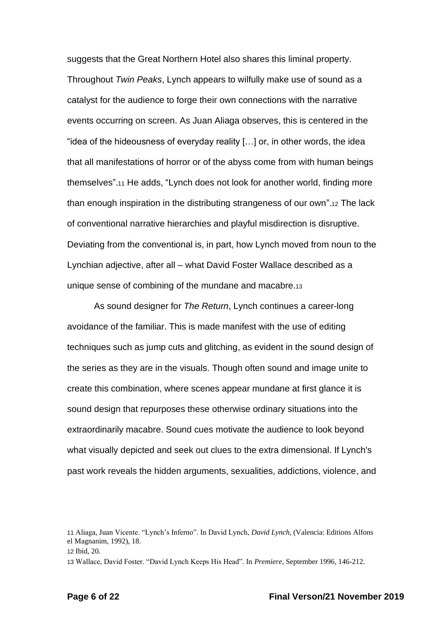suggests that the Great Northern Hotel also shares this liminal property. Throughout *Twin Peaks*, Lynch appears to wilfully make use of sound as a catalyst for the audience to forge their own connections with the narrative events occurring on screen. As Juan Aliaga observes, this is centered in the "idea of the hideousness of everyday reality […] or, in other words, the idea that all manifestations of horror or of the abyss come from with human beings themselves".<sup>11</sup> He adds, "Lynch does not look for another world, finding more than enough inspiration in the distributing strangeness of our own".<sup>12</sup> The lack of conventional narrative hierarchies and playful misdirection is disruptive. Deviating from the conventional is, in part, how Lynch moved from noun to the Lynchian adjective, after all – what David Foster Wallace described as a unique sense of combining of the mundane and macabre.<sup>13</sup>

As sound designer for *The Return*, Lynch continues a career-long avoidance of the familiar. This is made manifest with the use of editing techniques such as jump cuts and glitching, as evident in the sound design of the series as they are in the visuals. Though often sound and image unite to create this combination, where scenes appear mundane at first glance it is sound design that repurposes these otherwise ordinary situations into the extraordinarily macabre. Sound cues motivate the audience to look beyond what visually depicted and seek out clues to the extra dimensional. If Lynch's past work reveals the hidden arguments, sexualities, addictions, violence, and

<sup>11</sup> Aliaga, Juan Vicente. "Lynch's Inferno". In David Lynch, *David Lynch,* (Valencia: Editions Alfons el Magnanim, 1992), 18.

<sup>12</sup> Ibid, 20.

<sup>13</sup> Wallace, David Foster. "David Lynch Keeps His Head". In *Premiere*, September 1996, 146-212.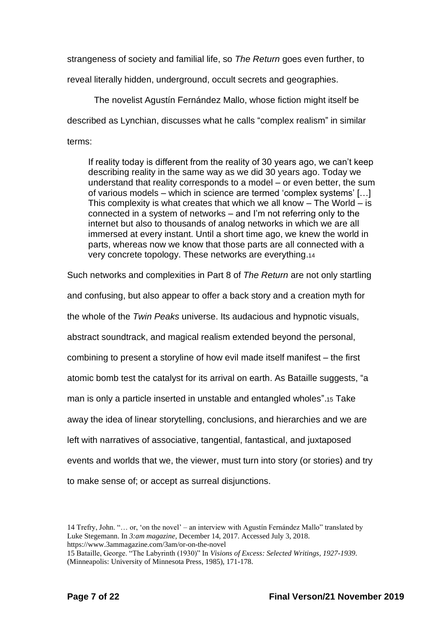strangeness of society and familial life, so *The Return* goes even further, to

reveal literally hidden, underground, occult secrets and geographies.

The novelist Agustín Fernández Mallo, whose fiction might itself be described as Lynchian, discusses what he calls "complex realism" in similar terms:

If reality today is different from the reality of 30 years ago, we can't keep describing reality in the same way as we did 30 years ago. Today we understand that reality corresponds to a model – or even better, the sum of various models – which in science are termed 'complex systems' […] This complexity is what creates that which we all know  $-$  The World  $-$  is connected in a system of networks – and I'm not referring only to the internet but also to thousands of analog networks in which we are all immersed at every instant. Until a short time ago, we knew the world in parts, whereas now we know that those parts are all connected with a very concrete topology. These networks are everything.<sup>14</sup>

Such networks and complexities in Part 8 of *The Return* are not only startling and confusing, but also appear to offer a back story and a creation myth for the whole of the *Twin Peaks* universe. Its audacious and hypnotic visuals, abstract soundtrack, and magical realism extended beyond the personal, combining to present a storyline of how evil made itself manifest – the first atomic bomb test the catalyst for its arrival on earth. As Bataille suggests, "a man is only a particle inserted in unstable and entangled wholes".<sup>15</sup> Take away the idea of linear storytelling, conclusions, and hierarchies and we are left with narratives of associative, tangential, fantastical, and juxtaposed events and worlds that we, the viewer, must turn into story (or stories) and try to make sense of; or accept as surreal disjunctions.

<sup>14</sup> Trefry, John. "… or, 'on the novel' – an interview with Agustín Fernández Mallo" translated by Luke Stegemann. In *3:am magazine,* December 14, 2017. Accessed July 3, 2018. https://www.3ammagazine.com/3am/or-on-the-novel

<sup>15</sup> Bataille, George. "The Labyrinth (1930)" In *Visions of Excess: Selected Writings, 1927-1939*. (Minneapolis: University of Minnesota Press, 1985), 171-178.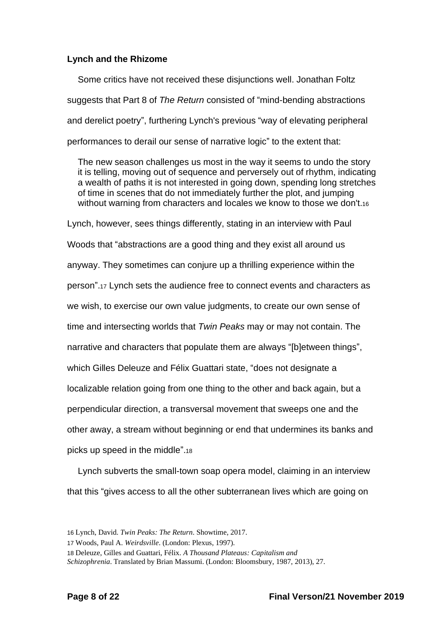### **Lynch and the Rhizome**

Some critics have not received these disjunctions well. Jonathan Foltz suggests that Part 8 of *The Return* consisted of "mind-bending abstractions and derelict poetry", furthering Lynch's previous "way of elevating peripheral performances to derail our sense of narrative logic" to the extent that:

The new season challenges us most in the way it seems to undo the story it is telling, moving out of sequence and perversely out of rhythm, indicating a wealth of paths it is not interested in going down, spending long stretches of time in scenes that do not immediately further the plot, and jumping without warning from characters and locales we know to those we don't.<sup>16</sup>

Lynch, however, sees things differently, stating in an interview with Paul Woods that "abstractions are a good thing and they exist all around us anyway. They sometimes can conjure up a thrilling experience within the person".<sup>17</sup> Lynch sets the audience free to connect events and characters as we wish, to exercise our own value judgments, to create our own sense of time and intersecting worlds that *Twin Peaks* may or may not contain. The narrative and characters that populate them are always "[b]etween things", which Gilles Deleuze and Félix Guattari state, "does not designate a localizable relation going from one thing to the other and back again, but a perpendicular direction, a transversal movement that sweeps one and the other away, a stream without beginning or end that undermines its banks and picks up speed in the middle".<sup>18</sup>

Lynch subverts the small-town soap opera model, claiming in an interview that this "gives access to all the other subterranean lives which are going on

<sup>16</sup> Lynch, David. *Twin Peaks: The Return*. Showtime, 2017.

<sup>17</sup> Woods, Paul A. *Weirdsville*. (London: Plexus, 1997).

<sup>18</sup> Deleuze, Gilles and Guattari, Félix. *A Thousand Plateaus: Capitalism and* 

*Schizophrenia*. Translated by Brian Massumi. (London: Bloomsbury, 1987, 2013), 27.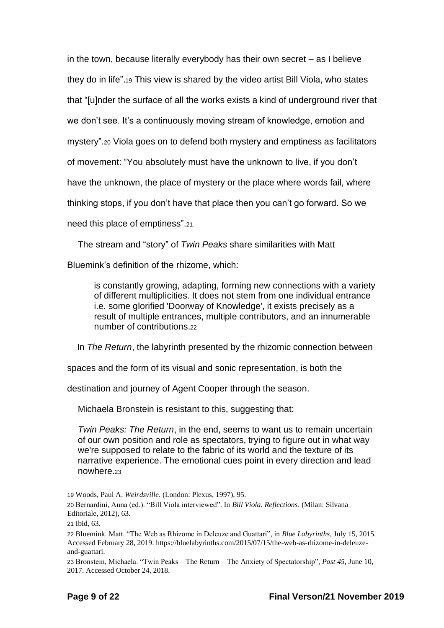in the town, because literally everybody has their own secret – as I believe they do in life".<sup>19</sup> This view is shared by the video artist Bill Viola, who states that "[u]nder the surface of all the works exists a kind of underground river that we don't see. It's a continuously moving stream of knowledge, emotion and mystery".<sup>20</sup> Viola goes on to defend both mystery and emptiness as facilitators of movement: "You absolutely must have the unknown to live, if you don't have the unknown, the place of mystery or the place where words fail, where thinking stops, if you don't have that place then you can't go forward. So we need this place of emptiness".<sup>21</sup>

The stream and "story" of *Twin Peaks* share similarities with Matt

Bluemink's definition of the rhizome, which:

is constantly growing, adapting, forming new connections with a variety of different multiplicities. It does not stem from one individual entrance i.e. some glorified 'Doorway of Knowledge', it exists precisely as a result of multiple entrances, multiple contributors, and an innumerable number of contributions.<sup>22</sup>

In *The Return*, the labyrinth presented by the rhizomic connection between

spaces and the form of its visual and sonic representation, is both the

destination and journey of Agent Cooper through the season.

Michaela Bronstein is resistant to this, suggesting that:

*Twin Peaks: The Return*, in the end, seems to want us to remain uncertain of our own position and role as spectators, trying to figure out in what way we're supposed to relate to the fabric of its world and the texture of its narrative experience. The emotional cues point in every direction and lead nowhere.<sup>23</sup>

<sup>19</sup> Woods, Paul A. *Weirdsville*. (London: Plexus, 1997), 95. 20 Bernardini, Anna (ed.). "Bill Viola interviewed". In *Bill Viola. Reflections*. (Milan: Silvana Editoriale, 2012), 63.

<sup>21</sup> Ibid, 63.

<sup>22</sup> Bluemink. Matt. "The Web as Rhizome in Deleuze and Guattari", in *Blue Labyrinths*, July 15, 2015. Accessed February 28, 2019. https://bluelabyrinths.com/2015/07/15/the-web-as-rhizome-in-deleuzeand-guattari.

<sup>23</sup> Bronstein, Michaela. "Twin Peaks – The Return – The Anxiety of Spectatorship", *Post 45*, June 10, 2017. Accessed October 24, 2018.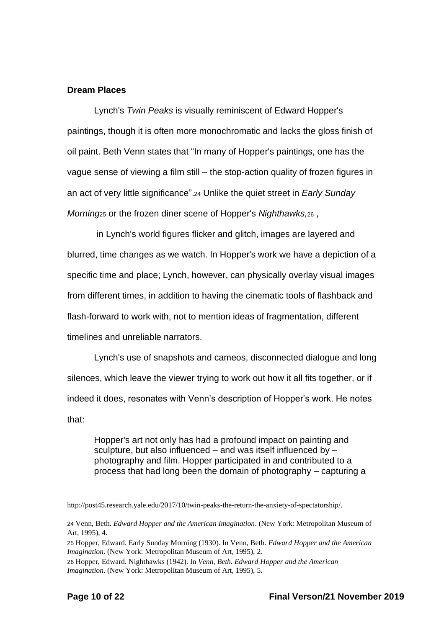### **Dream Places**

Lynch's *Twin Peaks* is visually reminiscent of Edward Hopper's paintings, though it is often more monochromatic and lacks the gloss finish of oil paint. Beth Venn states that "In many of Hopper's paintings, one has the vague sense of viewing a film still – the stop-action quality of frozen figures in an act of very little significance".<sup>24</sup> Unlike the quiet street in *Early Sunday Morning*<sup>25</sup> or the frozen diner scene of Hopper's *Nighthawks,*<sup>26</sup> ,

in Lynch's world figures flicker and glitch, images are layered and blurred, time changes as we watch. In Hopper's work we have a depiction of a specific time and place; Lynch, however, can physically overlay visual images from different times, in addition to having the cinematic tools of flashback and flash-forward to work with, not to mention ideas of fragmentation, different timelines and unreliable narrators.

Lynch's use of snapshots and cameos, disconnected dialogue and long silences, which leave the viewer trying to work out how it all fits together, or if indeed it does, resonates with Venn's description of Hopper's work. He notes that:

Hopper's art not only has had a profound impact on painting and sculpture, but also influenced – and was itself influenced by – photography and film. Hopper participated in and contributed to a process that had long been the domain of photography – capturing a

[http://post45.research.yale.edu/2017/10/twin-peaks-the-return-the-anxiety-of-spectatorship/.](http://post45.research.yale.edu/2017/10/twin-peaks-the-return-the-anxiety-of-spectatorship/)

<sup>24</sup> Venn, Beth. *Edward Hopper and the American Imagination*. (New York: Metropolitan Museum of Art, 1995), 4.

<sup>25</sup> Hopper, Edward. Early Sunday Morning (1930). In Venn, Beth. *Edward Hopper and the American Imagination*. (New York: Metropolitan Museum of Art, 1995), 2.

<sup>26</sup> Hopper, Edward. Nighthawks (1942). In *Venn, Beth. Edward Hopper and the American Imagination*. (New York: Metropolitan Museum of Art, 1995), 5.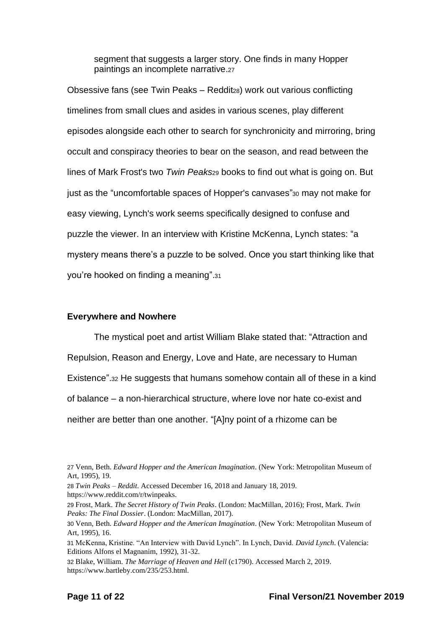segment that suggests a larger story. One finds in many Hopper paintings an incomplete narrative.<sup>27</sup>

Obsessive fans (see Twin Peaks – Redditza) work out various conflicting timelines from small clues and asides in various scenes, play different episodes alongside each other to search for synchronicity and mirroring, bring occult and conspiracy theories to bear on the season, and read between the lines of Mark Frost's two *Twin Peaks*<sup>29</sup> books to find out what is going on. But just as the "uncomfortable spaces of Hopper's canvases"<sup>30</sup> may not make for easy viewing, Lynch's work seems specifically designed to confuse and puzzle the viewer. In an interview with Kristine McKenna, Lynch states: "a mystery means there's a puzzle to be solved. Once you start thinking like that you're hooked on finding a meaning".<sup>31</sup>

### **Everywhere and Nowhere**

The mystical poet and artist William Blake stated that: "Attraction and Repulsion, Reason and Energy, Love and Hate, are necessary to Human Existence".<sup>32</sup> He suggests that humans somehow contain all of these in a kind of balance – a non-hierarchical structure, where love nor hate co-exist and neither are better than one another. "[A]ny point of a rhizome can be

<sup>27</sup> Venn, Beth. *Edward Hopper and the American Imagination*. (New York: Metropolitan Museum of Art, 1995), 19.

<sup>28</sup> *Twin Peaks – Reddit*. Accessed December 16, 2018 and January 18, 2019. https://www.reddit.com/r/twinpeaks.

<sup>29</sup> Frost, Mark. *The Secret History of Twin Peaks*. (London: MacMillan, 2016); Frost, Mark. *Twin Peaks: The Final Dossier*. (London: MacMillan, 2017).

<sup>30</sup> Venn, Beth. *Edward Hopper and the American Imagination*. (New York: Metropolitan Museum of Art, 1995), 16.

<sup>31</sup> McKenna, Kristine. "An Interview with David Lynch". In Lynch, David. *David Lynch*. (Valencia: Editions Alfons el Magnanim, 1992), 31-32.

<sup>32</sup> Blake, William. *The Marriage of Heaven and Hell* (c1790). Accessed March 2, 2019. https://www.bartleby.com/235/253.html.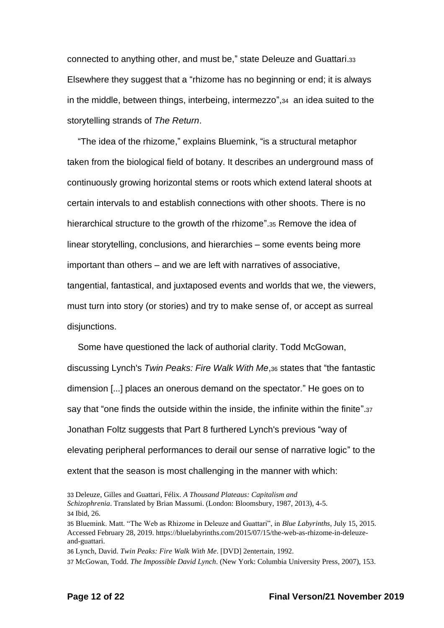connected to anything other, and must be," state Deleuze and Guattari.<sup>33</sup> Elsewhere they suggest that a "rhizome has no beginning or end; it is always in the middle, between things, interbeing, intermezzo",34 an idea suited to the storytelling strands of *The Return*.

"The idea of the rhizome," explains Bluemink, "is a structural metaphor taken from the biological field of botany. It describes an underground mass of continuously growing horizontal stems or roots which extend lateral shoots at certain intervals to and establish connections with other shoots. There is no hierarchical structure to the growth of the rhizome".<sup>35</sup> Remove the idea of linear storytelling, conclusions, and hierarchies – some events being more important than others – and we are left with narratives of associative, tangential, fantastical, and juxtaposed events and worlds that we, the viewers, must turn into story (or stories) and try to make sense of, or accept as surreal disjunctions.

Some have questioned the lack of authorial clarity. Todd McGowan, discussing Lynch's *Twin Peaks: Fire Walk With Me*,<sup>36</sup> states that "the fantastic dimension [...] places an onerous demand on the spectator." He goes on to say that "one finds the outside within the inside, the infinite within the finite".<sup>37</sup> Jonathan Foltz suggests that Part 8 furthered Lynch's previous "way of elevating peripheral performances to derail our sense of narrative logic" to the extent that the season is most challenging in the manner with which:

36 Lynch, David. *Twin Peaks: Fire Walk With Me*. [DVD] 2entertain, 1992.

<sup>33</sup> Deleuze, Gilles and Guattari, Félix. *A Thousand Plateaus: Capitalism and Schizophrenia*. Translated by Brian Massumi. (London: Bloomsbury, 1987, 2013), 4-5. 34 Ibid, 26.

<sup>35</sup> Bluemink. Matt. "The Web as Rhizome in Deleuze and Guattari", in *Blue Labyrinths*, July 15, 2015. Accessed February 28, 2019. https://bluelabyrinths.com/2015/07/15/the-web-as-rhizome-in-deleuzeand-guattari.

<sup>37</sup> McGowan, Todd. *The Impossible David Lynch*. (New York: Columbia University Press, 2007), 153.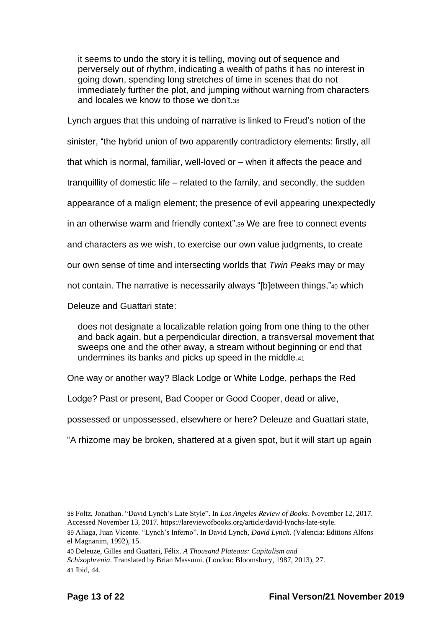it seems to undo the story it is telling, moving out of sequence and perversely out of rhythm, indicating a wealth of paths it has no interest in going down, spending long stretches of time in scenes that do not immediately further the plot, and jumping without warning from characters and locales we know to those we don't.<sup>38</sup>

Lynch argues that this undoing of narrative is linked to Freud's notion of the sinister, "the hybrid union of two apparently contradictory elements: firstly, all that which is normal, familiar, well-loved or – when it affects the peace and tranquillity of domestic life – related to the family, and secondly, the sudden appearance of a malign element; the presence of evil appearing unexpectedly in an otherwise warm and friendly context".<sup>39</sup> We are free to connect events and characters as we wish, to exercise our own value judgments, to create our own sense of time and intersecting worlds that *Twin Peaks* may or may not contain. The narrative is necessarily always "[b]etween things,"<sup>40</sup> which Deleuze and Guattari state:

does not designate a localizable relation going from one thing to the other and back again, but a perpendicular direction, a transversal movement that sweeps one and the other away, a stream without beginning or end that undermines its banks and picks up speed in the middle.<sup>41</sup>

One way or another way? Black Lodge or White Lodge, perhaps the Red

Lodge? Past or present, Bad Cooper or Good Cooper, dead or alive,

possessed or unpossessed, elsewhere or here? Deleuze and Guattari state,

"A rhizome may be broken, shattered at a given spot, but it will start up again

<sup>38</sup> Foltz, Jonathan. "David Lynch's Late Style". In *Los Angeles Review of Books*. November 12, 2017. Accessed November 13, 2017. https://lareviewofbooks.org/article/david-lynchs-late-style.

<sup>39</sup> Aliaga, Juan Vicente. "Lynch's Inferno". In David Lynch, *David Lynch*. (Valencia: Editions Alfons el Magnanim, 1992), 15.

<sup>40</sup> Deleuze, Gilles and Guattari, Félix. *A Thousand Plateaus: Capitalism and* 

*Schizophrenia*. Translated by Brian Massumi. (London: Bloomsbury, 1987, 2013), 27. 41 Ibid, 44.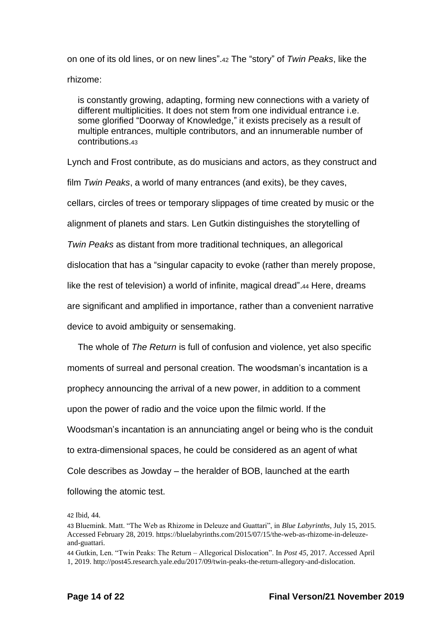on one of its old lines, or on new lines".<sup>42</sup> The "story" of *Twin Peaks*, like the rhizome:

is constantly growing, adapting, forming new connections with a variety of different multiplicities. It does not stem from one individual entrance i.e. some glorified "Doorway of Knowledge," it exists precisely as a result of multiple entrances, multiple contributors, and an innumerable number of contributions.<sup>43</sup>

Lynch and Frost contribute, as do musicians and actors, as they construct and film *Twin Peaks*, a world of many entrances (and exits), be they caves, cellars, circles of trees or temporary slippages of time created by music or the alignment of planets and stars. Len Gutkin distinguishes the storytelling of *Twin Peaks* as distant from more traditional techniques, an allegorical dislocation that has a "singular capacity to evoke (rather than merely propose, like the rest of television) a world of infinite, magical dread".44 Here, dreams are significant and amplified in importance, rather than a convenient narrative device to avoid ambiguity or sensemaking.

The whole of *The Return* is full of confusion and violence, yet also specific moments of surreal and personal creation. The woodsman's incantation is a prophecy announcing the arrival of a new power, in addition to a comment upon the power of radio and the voice upon the filmic world. If the Woodsman's incantation is an annunciating angel or being who is the conduit to extra-dimensional spaces, he could be considered as an agent of what Cole describes as Jowday – the heralder of BOB, launched at the earth following the atomic test.

42 Ibid, 44.

<sup>43</sup> Bluemink. Matt. "The Web as Rhizome in Deleuze and Guattari", in *Blue Labyrinths*, July 15, 2015. Accessed February 28, 2019. https://bluelabyrinths.com/2015/07/15/the-web-as-rhizome-in-deleuzeand-guattari.

<sup>44</sup> Gutkin, Len. "Twin Peaks: The Return – Allegorical Dislocation". In *Post 45*, 2017. Accessed April 1, 2019. http://post45.research.yale.edu/2017/09/twin-peaks-the-return-allegory-and-dislocation.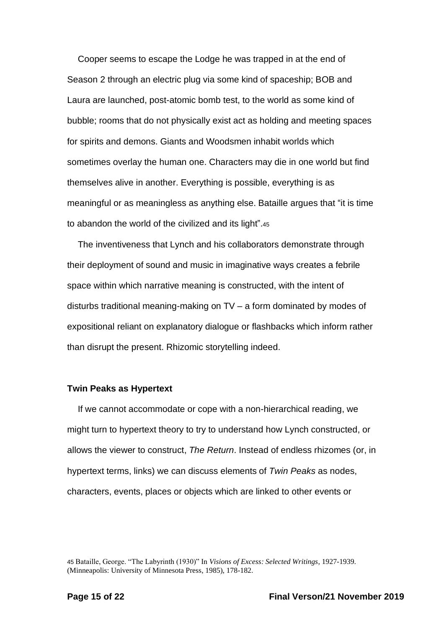Cooper seems to escape the Lodge he was trapped in at the end of Season 2 through an electric plug via some kind of spaceship; BOB and Laura are launched, post-atomic bomb test, to the world as some kind of bubble; rooms that do not physically exist act as holding and meeting spaces for spirits and demons. Giants and Woodsmen inhabit worlds which sometimes overlay the human one. Characters may die in one world but find themselves alive in another. Everything is possible, everything is as meaningful or as meaningless as anything else. Bataille argues that "it is time to abandon the world of the civilized and its light".<sup>45</sup>

The inventiveness that Lynch and his collaborators demonstrate through their deployment of sound and music in imaginative ways creates a febrile space within which narrative meaning is constructed, with the intent of disturbs traditional meaning-making on TV – a form dominated by modes of expositional reliant on explanatory dialogue or flashbacks which inform rather than disrupt the present. Rhizomic storytelling indeed.

### **Twin Peaks as Hypertext**

If we cannot accommodate or cope with a non-hierarchical reading, we might turn to hypertext theory to try to understand how Lynch constructed, or allows the viewer to construct, *The Return*. Instead of endless rhizomes (or, in hypertext terms, links) we can discuss elements of *Twin Peaks* as nodes, characters, events, places or objects which are linked to other events or

45 Bataille, George. "The Labyrinth (1930)" In *Visions of Excess: Selected Writings*, 1927-1939. (Minneapolis: University of Minnesota Press, 1985), 178-182.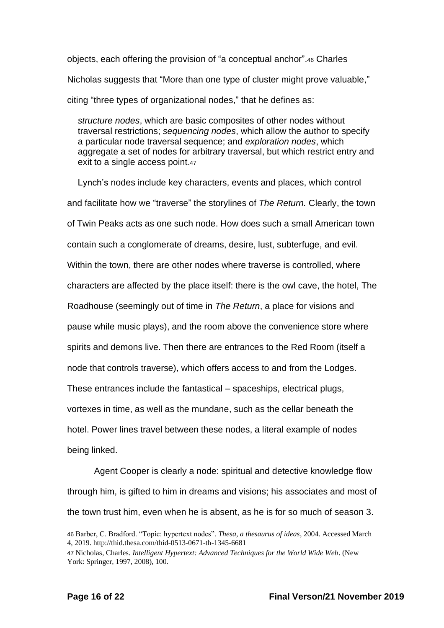objects, each offering the provision of "a conceptual anchor".<sup>46</sup> Charles Nicholas suggests that "More than one type of cluster might prove valuable," citing "three types of organizational nodes," that he defines as:

*structure nodes*, which are basic composites of other nodes without traversal restrictions; *sequencing nodes*, which allow the author to specify a particular node traversal sequence; and *exploration nodes*, which aggregate a set of nodes for arbitrary traversal, but which restrict entry and exit to a single access point.<sup>47</sup>

Lynch's nodes include key characters, events and places, which control and facilitate how we "traverse" the storylines of *The Return.* Clearly, the town of Twin Peaks acts as one such node. How does such a small American town contain such a conglomerate of dreams, desire, lust, subterfuge, and evil. Within the town, there are other nodes where traverse is controlled, where characters are affected by the place itself: there is the owl cave, the hotel, The Roadhouse (seemingly out of time in *The Return*, a place for visions and pause while music plays), and the room above the convenience store where spirits and demons live. Then there are entrances to the Red Room (itself a node that controls traverse), which offers access to and from the Lodges. These entrances include the fantastical – spaceships, electrical plugs, vortexes in time, as well as the mundane, such as the cellar beneath the hotel. Power lines travel between these nodes, a literal example of nodes being linked.

Agent Cooper is clearly a node: spiritual and detective knowledge flow through him, is gifted to him in dreams and visions; his associates and most of the town trust him, even when he is absent, as he is for so much of season 3.

<sup>46</sup> Barber, C. Bradford. "Topic: hypertext nodes". *Thesa, a thesaurus of ideas*, 2004. Accessed March 4, 2019. http://thid.thesa.com/thid-0513-0671-th-1345-6681

<sup>47</sup> Nicholas, Charles. *Intelligent Hypertext: Advanced Techniques for the World Wide Web*. (New York: Springer, 1997, 2008), 100.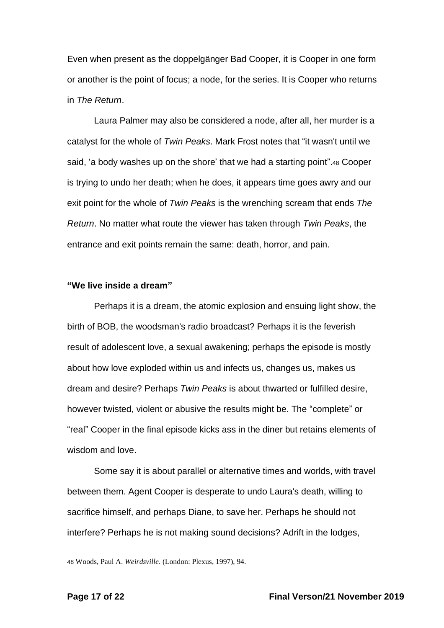Even when present as the doppelgänger Bad Cooper, it is Cooper in one form or another is the point of focus; a node, for the series. It is Cooper who returns in *The Return*.

Laura Palmer may also be considered a node, after all, her murder is a catalyst for the whole of *Twin Peaks*. Mark Frost notes that "it wasn't until we said, 'a body washes up on the shore' that we had a starting point".<sup>48</sup> Cooper is trying to undo her death; when he does, it appears time goes awry and our exit point for the whole of *Twin Peaks* is the wrenching scream that ends *The Return*. No matter what route the viewer has taken through *Twin Peaks*, the entrance and exit points remain the same: death, horror, and pain.

### **"We live inside a dream"**

Perhaps it is a dream, the atomic explosion and ensuing light show, the birth of BOB, the woodsman's radio broadcast? Perhaps it is the feverish result of adolescent love, a sexual awakening; perhaps the episode is mostly about how love exploded within us and infects us, changes us, makes us dream and desire? Perhaps *Twin Peaks* is about thwarted or fulfilled desire, however twisted, violent or abusive the results might be. The "complete" or "real" Cooper in the final episode kicks ass in the diner but retains elements of wisdom and love.

Some say it is about parallel or alternative times and worlds, with travel between them. Agent Cooper is desperate to undo Laura's death, willing to sacrifice himself, and perhaps Diane, to save her. Perhaps he should not interfere? Perhaps he is not making sound decisions? Adrift in the lodges,

48 Woods, Paul A. *Weirdsville*. (London: Plexus, 1997), 94.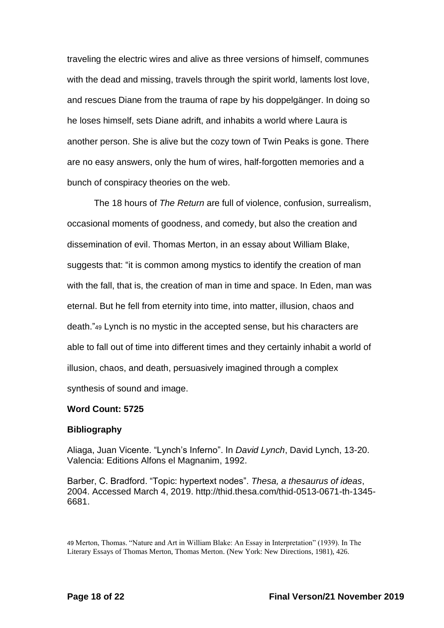traveling the electric wires and alive as three versions of himself, communes with the dead and missing, travels through the spirit world, laments lost love, and rescues Diane from the trauma of rape by his doppelgänger. In doing so he loses himself, sets Diane adrift, and inhabits a world where Laura is another person. She is alive but the cozy town of Twin Peaks is gone. There are no easy answers, only the hum of wires, half-forgotten memories and a bunch of conspiracy theories on the web.

The 18 hours of *The Return* are full of violence, confusion, surrealism, occasional moments of goodness, and comedy, but also the creation and dissemination of evil. Thomas Merton, in an essay about William Blake, suggests that: "it is common among mystics to identify the creation of man with the fall, that is, the creation of man in time and space. In Eden, man was eternal. But he fell from eternity into time, into matter, illusion, chaos and death."<sup>49</sup> Lynch is no mystic in the accepted sense, but his characters are able to fall out of time into different times and they certainly inhabit a world of illusion, chaos, and death, persuasively imagined through a complex synthesis of sound and image.

### **Word Count: 5725**

### **Bibliography**

Aliaga, Juan Vicente. "Lynch's Inferno". In *David Lynch*, David Lynch, 13-20. Valencia: Editions Alfons el Magnanim, 1992.

Barber, C. Bradford. "Topic: hypertext nodes". *Thesa, a thesaurus of ideas*, 2004. Accessed March 4, 2019. http://thid.thesa.com/thid-0513-0671-th-1345- 6681.

<sup>49</sup> Merton, Thomas. "Nature and Art in William Blake: An Essay in Interpretation" (1939). In The Literary Essays of Thomas Merton, Thomas Merton. (New York: New Directions, 1981), 426.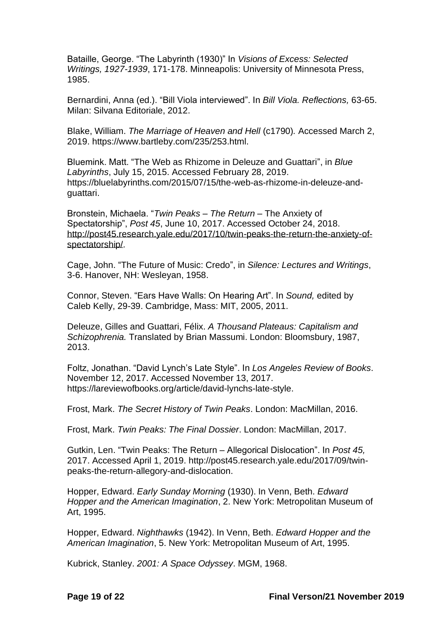Bataille, George. "The Labyrinth (1930)" In *Visions of Excess: Selected Writings, 1927-1939*, 171-178. Minneapolis: University of Minnesota Press, 1985.

Bernardini, Anna (ed.). "Bill Viola interviewed". In *Bill Viola. Reflections,* 63-65. Milan: Silvana Editoriale, 2012.

Blake, William. *The Marriage of Heaven and Hell* (c1790)*.* Accessed March 2, 2019. https://www.bartleby.com/235/253.html.

Bluemink. Matt. "The Web as Rhizome in Deleuze and Guattari", in *Blue Labyrinths*, July 15, 2015. Accessed February 28, 2019. https://bluelabyrinths.com/2015/07/15/the-web-as-rhizome-in-deleuze-andguattari.

Bronstein, Michaela. "*Twin Peaks – The Return* – The Anxiety of Spectatorship", *Post 45*, June 10, 2017. Accessed October 24, 2018. [http://post45.research.yale.edu/2017/10/twin-peaks-the-return-the-anxiety-of](http://post45.research.yale.edu/2017/10/twin-peaks-the-return-the-anxiety-of-spectatorship/)[spectatorship/.](http://post45.research.yale.edu/2017/10/twin-peaks-the-return-the-anxiety-of-spectatorship/)

Cage, John. "The Future of Music: Credo", in *Silence: Lectures and Writings*, 3-6. Hanover, NH: Wesleyan, 1958.

Connor, Steven. "Ears Have Walls: On Hearing Art". In *Sound,* edited by Caleb Kelly, 29-39. Cambridge, Mass: MIT, 2005, 2011.

Deleuze, Gilles and Guattari, Félix. *A Thousand Plateaus: Capitalism and Schizophrenia.* Translated by Brian Massumi. London: Bloomsbury, 1987, 2013.

Foltz, Jonathan. "David Lynch's Late Style". In *Los Angeles Review of Books*. November 12, 2017. Accessed November 13, 2017. https://lareviewofbooks.org/article/david-lynchs-late-style.

Frost, Mark. *The Secret History of Twin Peaks*. London: MacMillan, 2016.

Frost, Mark. *Twin Peaks: The Final Dossier*. London: MacMillan, 2017.

Gutkin, Len. "Twin Peaks: The Return – Allegorical Dislocation". In *Post 45,*  2017. Accessed April 1, 2019. http://post45.research.yale.edu/2017/09/twinpeaks-the-return-allegory-and-dislocation.

Hopper, Edward. *Early Sunday Morning* (1930). In Venn, Beth. *Edward Hopper and the American Imagination*, 2. New York: Metropolitan Museum of Art, 1995.

Hopper, Edward. *Nighthawks* (1942). In Venn, Beth. *Edward Hopper and the American Imagination*, 5. New York: Metropolitan Museum of Art, 1995.

Kubrick, Stanley. *2001: A Space Odyssey*. MGM, 1968.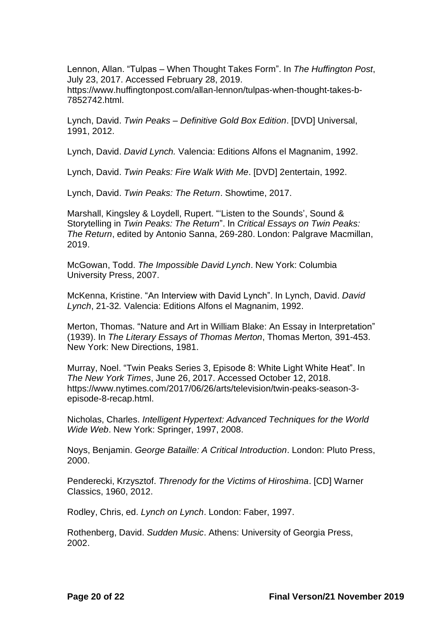Lennon, Allan. "Tulpas – When Thought Takes Form". In *The Huffington Post*, July 23, 2017. Accessed February 28, 2019.

https://www.huffingtonpost.com/allan-lennon/tulpas-when-thought-takes-b-7852742.html.

Lynch, David. *Twin Peaks – Definitive Gold Box Edition*. [DVD] Universal, 1991, 2012.

Lynch, David. *David Lynch.* Valencia: Editions Alfons el Magnanim, 1992.

Lynch, David. *Twin Peaks: Fire Walk With Me*. [DVD] 2entertain, 1992.

Lynch, David. *Twin Peaks: The Return*. Showtime, 2017.

Marshall, Kingsley & Loydell, Rupert. "'Listen to the Sounds', Sound & Storytelling in *Twin Peaks: The Return*". In *Critical Essays on Twin Peaks: The Return*, edited by Antonio Sanna, 269-280. London: Palgrave Macmillan, 2019.

McGowan, Todd. *The Impossible David Lynch*. New York: Columbia University Press, 2007.

McKenna, Kristine. "An Interview with David Lynch". In Lynch, David. *David Lynch*, 21-32*.* Valencia: Editions Alfons el Magnanim, 1992.

Merton, Thomas. "Nature and Art in William Blake: An Essay in Interpretation" (1939). In *The Literary Essays of Thomas Merton*, Thomas Merton*,* 391-453. New York: New Directions, 1981.

Murray, Noel. "Twin Peaks Series 3, Episode 8: White Light White Heat". In *The New York Times*, June 26, 2017. Accessed October 12, 2018. https://www.nytimes.com/2017/06/26/arts/television/twin-peaks-season-3 episode-8-recap.html.

Nicholas, Charles. *Intelligent Hypertext: Advanced Techniques for the World Wide Web*. New York: Springer, 1997, 2008.

Noys, Benjamin. *George Bataille: A Critical Introduction*. London: Pluto Press, 2000.

Penderecki, Krzysztof. *Threnody for the Victims of Hiroshima*. [CD] Warner Classics, 1960, 2012.

Rodley, Chris, ed. *Lynch on Lynch*. London: Faber, 1997.

Rothenberg, David. *Sudden Music*. Athens: University of Georgia Press, 2002.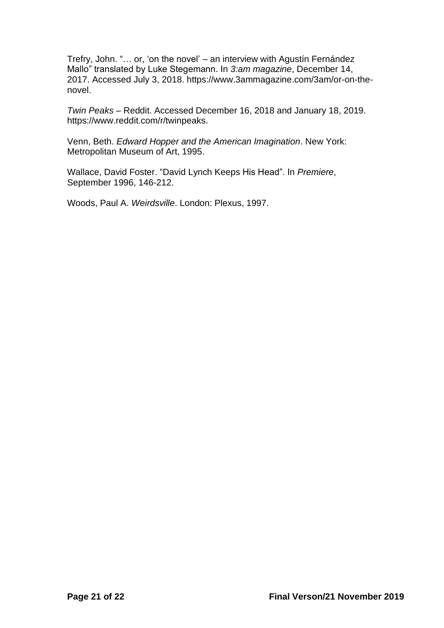Trefry, John. "… or, 'on the novel' – an interview with Agustín Fernández Mallo" translated by Luke Stegemann. In *3:am magazine*, December 14, 2017. Accessed July 3, 2018. https://www.3ammagazine.com/3am/or-on-thenovel.

*Twin Peaks* – Reddit. Accessed December 16, 2018 and January 18, 2019. https://www.reddit.com/r/twinpeaks.

Venn, Beth. *Edward Hopper and the American Imagination*. New York: Metropolitan Museum of Art, 1995.

Wallace, David Foster. "David Lynch Keeps His Head". In *Premiere*, September 1996, 146-212.

Woods, Paul A. *Weirdsville*. London: Plexus, 1997.